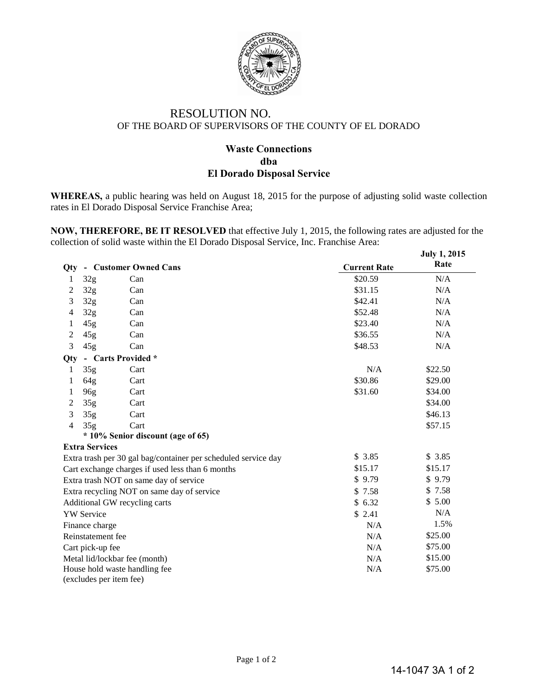

## RESOLUTION NO. OF THE BOARD OF SUPERVISORS OF THE COUNTY OF EL DORADO

## **Waste Connections dba El Dorado Disposal Service**

**WHEREAS,** a public hearing was held on August 18, 2015 for the purpose of adjusting solid waste collection rates in El Dorado Disposal Service Franchise Area;

**NOW, THEREFORE, BE IT RESOLVED** that effective July 1, 2015, the following rates are adjusted for the collection of solid waste within the El Dorado Disposal Service, Inc. Franchise Area:

|                                                                          |                       |                       |                     | <b>July 1, 2015</b> |  |  |  |  |  |
|--------------------------------------------------------------------------|-----------------------|-----------------------|---------------------|---------------------|--|--|--|--|--|
| Qty                                                                      |                       | - Customer Owned Cans | <b>Current Rate</b> | Rate                |  |  |  |  |  |
| 1                                                                        | 32 <sub>g</sub>       | Can                   | \$20.59             | N/A                 |  |  |  |  |  |
| 2                                                                        | 32 <sub>g</sub>       | Can                   | \$31.15             | N/A                 |  |  |  |  |  |
| 3                                                                        | 32 <sub>g</sub>       | Can                   | \$42.41             | N/A                 |  |  |  |  |  |
| 4                                                                        | 32 <sub>g</sub>       | Can                   | \$52.48             | N/A                 |  |  |  |  |  |
| 1                                                                        | 45g                   | Can                   | \$23.40             | N/A                 |  |  |  |  |  |
| 2                                                                        | 45g                   | Can                   | \$36.55             | N/A                 |  |  |  |  |  |
| 3                                                                        | 45g                   | Can                   | \$48.53             | N/A                 |  |  |  |  |  |
| Qty                                                                      | - Carts Provided *    |                       |                     |                     |  |  |  |  |  |
| 1                                                                        | 35 <sub>g</sub>       | Cart                  | N/A                 | \$22.50             |  |  |  |  |  |
| 1                                                                        | 64g                   | Cart                  | \$30.86             | \$29.00             |  |  |  |  |  |
| 1                                                                        | 96g                   | Cart                  | \$31.60             | \$34.00             |  |  |  |  |  |
| 2                                                                        | 35g                   | Cart                  |                     | \$34.00             |  |  |  |  |  |
| 3                                                                        | 35 <sub>g</sub>       | Cart                  |                     | \$46.13             |  |  |  |  |  |
| $\overline{4}$                                                           | 35 <sub>g</sub>       | Cart                  |                     | \$57.15             |  |  |  |  |  |
| * 10% Senior discount (age of 65)                                        |                       |                       |                     |                     |  |  |  |  |  |
|                                                                          | <b>Extra Services</b> |                       |                     | \$3.85              |  |  |  |  |  |
| \$3.85<br>Extra trash per 30 gal bag/container per scheduled service day |                       |                       |                     |                     |  |  |  |  |  |
| \$15.17<br>Cart exchange charges if used less than 6 months<br>\$9.79    |                       |                       |                     | \$15.17             |  |  |  |  |  |
| Extra trash NOT on same day of service                                   | \$9.79                |                       |                     |                     |  |  |  |  |  |
| Extra recycling NOT on same day of service                               | \$7.58                | \$7.58                |                     |                     |  |  |  |  |  |
| Additional GW recycling carts                                            | \$6.32                | \$5.00                |                     |                     |  |  |  |  |  |
| <b>YW</b> Service<br>\$2.41                                              |                       |                       |                     | N/A                 |  |  |  |  |  |
| N/A<br>Finance charge                                                    |                       |                       |                     | 1.5%                |  |  |  |  |  |
|                                                                          | Reinstatement fee     |                       | N/A                 | \$25.00             |  |  |  |  |  |
| Cart pick-up fee                                                         | N/A                   | \$75.00               |                     |                     |  |  |  |  |  |
| Metal lid/lockbar fee (month)                                            | \$15.00               |                       |                     |                     |  |  |  |  |  |
| N/A<br>House hold waste handling fee                                     |                       |                       |                     |                     |  |  |  |  |  |
| (excludes per item fee)                                                  |                       |                       |                     |                     |  |  |  |  |  |